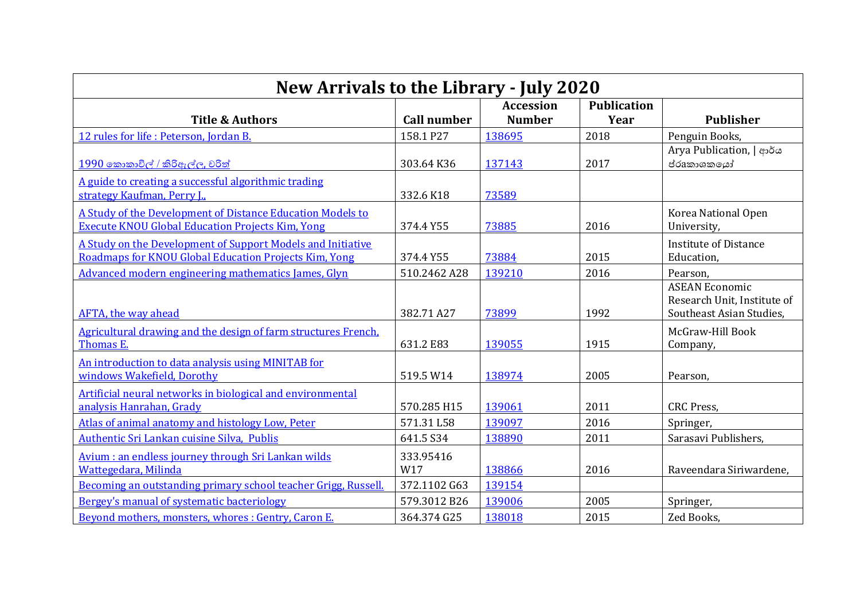| New Arrivals to the Library - July 2020                                                                               |                    |                                   |                            |                                                                                  |
|-----------------------------------------------------------------------------------------------------------------------|--------------------|-----------------------------------|----------------------------|----------------------------------------------------------------------------------|
| <b>Title &amp; Authors</b>                                                                                            | <b>Call number</b> | <b>Accession</b><br><b>Number</b> | <b>Publication</b><br>Year | <b>Publisher</b>                                                                 |
| 12 rules for life : Peterson, Jordan B.                                                                               | 158.1 P27          | 138695                            | 2018                       | Penguin Books,                                                                   |
| 1990 කොකාවිල් / කිරිඇල්ල, චරිත්                                                                                       | 303.64 K36         | 137143                            | 2017                       | Arya Publication,   ආර්ය<br>ප්රaකාශකගෝ                                           |
| A guide to creating a successful algorithmic trading<br>strategy Kaufman, Perry I.,                                   | 332.6 K18          | 73589                             |                            |                                                                                  |
| A Study of the Development of Distance Education Models to<br><b>Execute KNOU Global Education Projects Kim, Yong</b> | 374.4 Y55          | 73885                             | 2016                       | Korea National Open<br>University,                                               |
| A Study on the Development of Support Models and Initiative<br>Roadmaps for KNOU Global Education Projects Kim, Yong  | 374.4 Y55          | 73884                             | 2015                       | <b>Institute of Distance</b><br>Education,                                       |
| Advanced modern engineering mathematics James, Glyn                                                                   | 510.2462 A28       | 139210                            | 2016                       | Pearson,                                                                         |
| <b>AFTA</b> , the way ahead                                                                                           | 382.71 A27         | 73899                             | 1992                       | <b>ASEAN Economic</b><br>Research Unit, Institute of<br>Southeast Asian Studies. |
| Agricultural drawing and the design of farm structures French,<br>Thomas E.                                           | 631.2 E83          | 139055                            | 1915                       | McGraw-Hill Book<br>Company,                                                     |
| An introduction to data analysis using MINITAB for<br>windows Wakefield, Dorothy                                      | 519.5 W14          | 138974                            | 2005                       | Pearson,                                                                         |
| Artificial neural networks in biological and environmental<br>analysis Hanrahan, Grady                                | 570.285 H15        | 139061                            | 2011                       | CRC Press,                                                                       |
| Atlas of animal anatomy and histology Low, Peter                                                                      | 571.31 L58         | 139097                            | 2016                       | Springer,                                                                        |
| Authentic Sri Lankan cuisine Silva, Publis                                                                            | 641.5 S34          | 138890                            | 2011                       | Sarasavi Publishers,                                                             |
| Avium: an endless journey through Sri Lankan wilds<br>Wattegedara, Milinda                                            | 333.95416<br>W17   | 138866                            | 2016                       | Raveendara Siriwardene,                                                          |
| Becoming an outstanding primary school teacher Grigg, Russell.                                                        | 372.1102 G63       | 139154                            |                            |                                                                                  |
| Bergey's manual of systematic bacteriology                                                                            | 579.3012 B26       | 139006                            | 2005                       | Springer,                                                                        |
| Beyond mothers, monsters, whores: Gentry, Caron E.                                                                    | 364.374 G25        | 138018                            | 2015                       | Zed Books,                                                                       |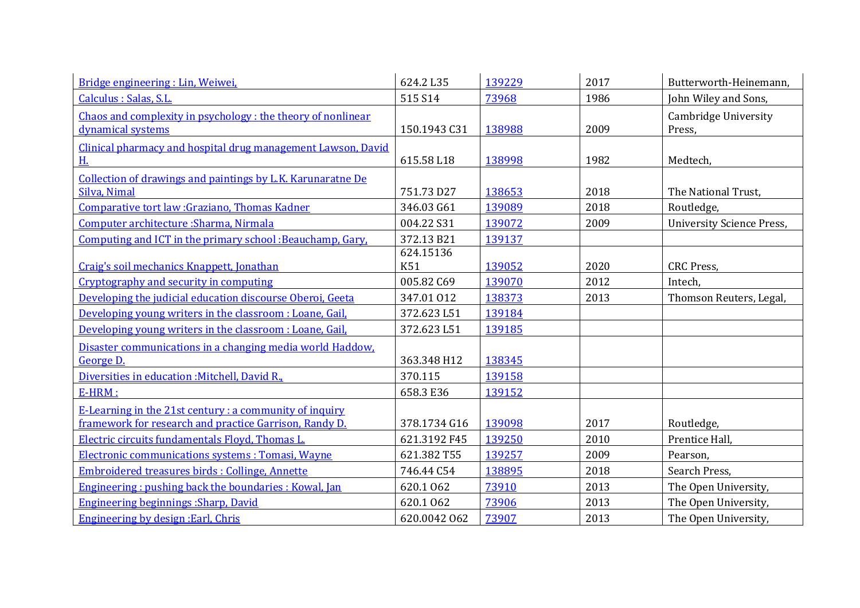| Bridge engineering : Lin, Weiwei,                                                                                        | 624.2 L35        | 139229 | 2017 | Butterworth-Heinemann,           |
|--------------------------------------------------------------------------------------------------------------------------|------------------|--------|------|----------------------------------|
| Calculus : Salas, S.L.                                                                                                   | 515 S14          | 73968  | 1986 | John Wiley and Sons,             |
| Chaos and complexity in psychology : the theory of nonlinear<br>dynamical systems                                        | 150.1943 C31     | 138988 | 2009 | Cambridge University<br>Press,   |
| Clinical pharmacy and hospital drug management Lawson, David<br>H.                                                       | 615.58 L18       | 138998 | 1982 | Medtech,                         |
| Collection of drawings and paintings by L.K. Karunaratne De<br>Silva, Nimal                                              | 751.73 D27       | 138653 | 2018 | The National Trust,              |
| Comparative tort law : Graziano, Thomas Kadner                                                                           | 346.03 G61       | 139089 | 2018 | Routledge,                       |
| Computer architecture : Sharma, Nirmala                                                                                  | 004.22 S31       | 139072 | 2009 | <b>University Science Press,</b> |
| Computing and ICT in the primary school: Beauchamp, Gary,                                                                | 372.13 B21       | 139137 |      |                                  |
| Craig's soil mechanics Knappett, Jonathan                                                                                | 624.15136<br>K51 | 139052 | 2020 | CRC Press,                       |
| Cryptography and security in computing                                                                                   | 005.82 C69       | 139070 | 2012 | Intech,                          |
| Developing the judicial education discourse Oberoi, Geeta                                                                | 347.01 012       | 138373 | 2013 | Thomson Reuters, Legal,          |
| Developing young writers in the classroom : Loane, Gail,                                                                 | 372.623L51       | 139184 |      |                                  |
| Developing young writers in the classroom : Loane, Gail,                                                                 | 372.623L51       | 139185 |      |                                  |
| Disaster communications in a changing media world Haddow.<br>George D.                                                   | 363.348 H12      | 138345 |      |                                  |
| Diversities in education : Mitchell, David R.,                                                                           | 370.115          | 139158 |      |                                  |
| $E-HRM:$                                                                                                                 | 658.3 E36        | 139152 |      |                                  |
| <b>E-Learning in the 21st century : a community of inquiry</b><br>framework for research and practice Garrison, Randy D. | 378.1734 G16     | 139098 | 2017 | Routledge,                       |
| Electric circuits fundamentals Floyd, Thomas L.                                                                          | 621.3192 F45     | 139250 | 2010 | Prentice Hall,                   |
| Electronic communications systems : Tomasi, Wayne                                                                        | 621.382 T55      | 139257 | 2009 | Pearson,                         |
| <b>Embroidered treasures birds: Collinge, Annette</b>                                                                    | 746.44 C54       | 138895 | 2018 | Search Press,                    |
| Engineering: pushing back the boundaries: Kowal, Jan                                                                     | 620.1062         | 73910  | 2013 | The Open University,             |
| <b>Engineering beginnings : Sharp, David</b>                                                                             | 620.1062         | 73906  | 2013 | The Open University,             |
| Engineering by design : Earl, Chris                                                                                      | 620.0042 062     | 73907  | 2013 | The Open University,             |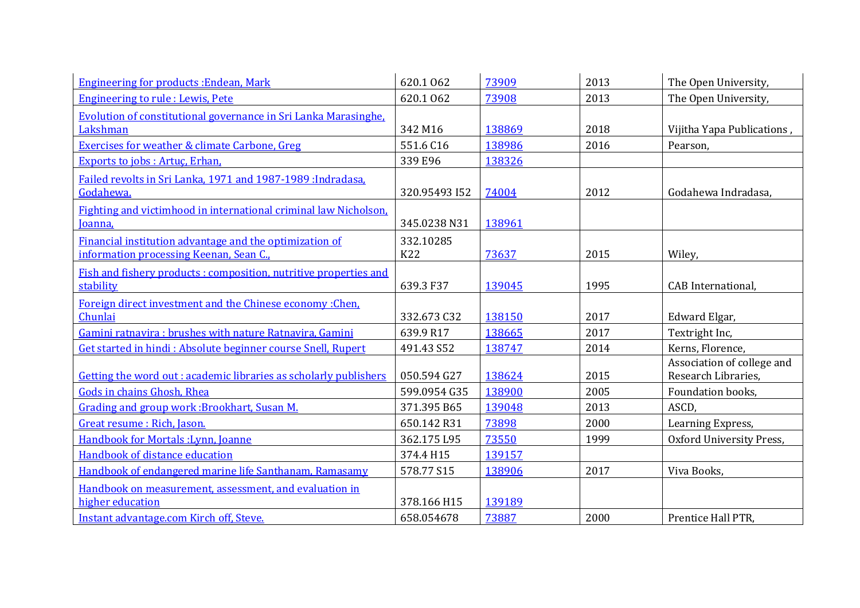| <b>Engineering for products: Endean, Mark</b>                     | 620.1062      | 73909  | 2013 | The Open University,       |
|-------------------------------------------------------------------|---------------|--------|------|----------------------------|
| <b>Engineering to rule: Lewis, Pete</b>                           | 620.1062      | 73908  | 2013 | The Open University,       |
| Evolution of constitutional governance in Sri Lanka Marasinghe.   |               |        |      |                            |
| Lakshman                                                          | 342 M16       | 138869 | 2018 | Vijitha Yapa Publications, |
| <b>Exercises for weather &amp; climate Carbone, Greg</b>          | 551.6 C16     | 138986 | 2016 | Pearson,                   |
| Exports to jobs: Artuç, Erhan,                                    | 339 E96       | 138326 |      |                            |
| Failed revolts in Sri Lanka, 1971 and 1987-1989 : Indradasa,      |               |        |      |                            |
| Godahewa.                                                         | 320.95493 I52 | 74004  | 2012 | Godahewa Indradasa,        |
| Fighting and victimhood in international criminal law Nicholson,  |               |        |      |                            |
| Joanna,                                                           | 345.0238 N31  | 138961 |      |                            |
| Financial institution advantage and the optimization of           | 332.10285     |        |      |                            |
| information processing Keenan, Sean C.,                           | <b>K22</b>    | 73637  | 2015 | Wiley,                     |
| Fish and fishery products: composition, nutritive properties and  |               |        |      |                            |
| stability                                                         | 639.3 F37     | 139045 | 1995 | CAB International,         |
| Foreign direct investment and the Chinese economy : Chen.         |               |        |      |                            |
| Chunlai                                                           | 332.673 C32   | 138150 | 2017 | Edward Elgar,              |
| Gamini ratnavira : brushes with nature Ratnavira, Gamini          | 639.9 R17     | 138665 | 2017 | Textright Inc,             |
| Get started in hindi: Absolute beginner course Snell, Rupert      | 491.43 S52    | 138747 | 2014 | Kerns, Florence,           |
|                                                                   |               |        |      | Association of college and |
| Getting the word out : academic libraries as scholarly publishers | 050.594 G27   | 138624 | 2015 | Research Libraries,        |
| Gods in chains Ghosh, Rhea                                        | 599.0954 G35  | 138900 | 2005 | Foundation books,          |
| Grading and group work: Brookhart, Susan M.                       | 371.395 B65   | 139048 | 2013 | ASCD,                      |
| Great resume : Rich, Jason.                                       | 650.142 R31   | 73898  | 2000 | Learning Express,          |
| Handbook for Mortals : Lynn, Joanne                               | 362.175 L95   | 73550  | 1999 | Oxford University Press,   |
| Handbook of distance education                                    | 374.4 H15     | 139157 |      |                            |
| Handbook of endangered marine life Santhanam, Ramasamy            | 578.77 S15    | 138906 | 2017 | Viva Books,                |
| Handbook on measurement, assessment, and evaluation in            |               |        |      |                            |
| higher education                                                  | 378.166 H15   | 139189 |      |                            |
| Instant advantage.com Kirch off, Steve.                           | 658.054678    | 73887  | 2000 | Prentice Hall PTR,         |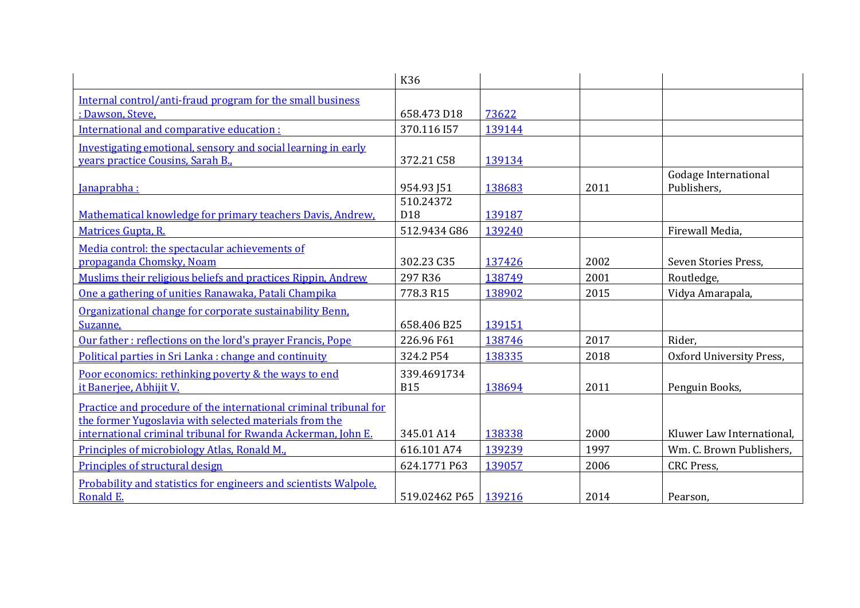|                                                                   | K36           |        |      |                           |
|-------------------------------------------------------------------|---------------|--------|------|---------------------------|
| Internal control/anti-fraud program for the small business        |               |        |      |                           |
| : Dawson, Steve,                                                  | 658.473 D18   | 73622  |      |                           |
| International and comparative education :                         | 370.116 I57   | 139144 |      |                           |
| Investigating emotional, sensory and social learning in early     |               |        |      |                           |
| vears practice Cousins, Sarah B.                                  | 372.21 C58    | 139134 |      |                           |
|                                                                   |               |        |      | Godage International      |
| Janaprabha:                                                       | 954.93 J51    | 138683 | 2011 | Publishers,               |
|                                                                   | 510.24372     |        |      |                           |
| Mathematical knowledge for primary teachers Davis, Andrew,        | D18           | 139187 |      |                           |
| Matrices Gupta, R.                                                | 512.9434 G86  | 139240 |      | Firewall Media,           |
| Media control: the spectacular achievements of                    |               |        |      |                           |
| propaganda Chomsky, Noam                                          | 302.23 C35    | 137426 | 2002 | Seven Stories Press.      |
| Muslims their religious beliefs and practices Rippin, Andrew      | 297 R36       | 138749 | 2001 | Routledge,                |
| One a gathering of unities Ranawaka, Patali Champika              | 778.3 R15     | 138902 | 2015 | Vidya Amarapala,          |
| Organizational change for corporate sustainability Benn,          |               |        |      |                           |
| Suzanne,                                                          | 658.406 B25   | 139151 |      |                           |
| Our father: reflections on the lord's prayer Francis, Pope        | 226.96 F61    | 138746 | 2017 | Rider,                    |
| Political parties in Sri Lanka : change and continuity            | 324.2 P54     | 138335 | 2018 | Oxford University Press,  |
| Poor economics: rethinking poverty & the ways to end              | 339.4691734   |        |      |                           |
| it Banerjee, Abhijit V.                                           | <b>B15</b>    | 138694 | 2011 | Penguin Books,            |
| Practice and procedure of the international criminal tribunal for |               |        |      |                           |
| the former Yugoslavia with selected materials from the            |               |        |      |                           |
| international criminal tribunal for Rwanda Ackerman, John E.      | 345.01 A14    | 138338 | 2000 | Kluwer Law International, |
| Principles of microbiology Atlas, Ronald M.,                      | 616.101 A74   | 139239 | 1997 | Wm. C. Brown Publishers,  |
| Principles of structural design                                   | 624.1771 P63  | 139057 | 2006 | <b>CRC</b> Press,         |
| Probability and statistics for engineers and scientists Walpole,  |               |        |      |                           |
| Ronald E.                                                         | 519.02462 P65 | 139216 | 2014 | Pearson,                  |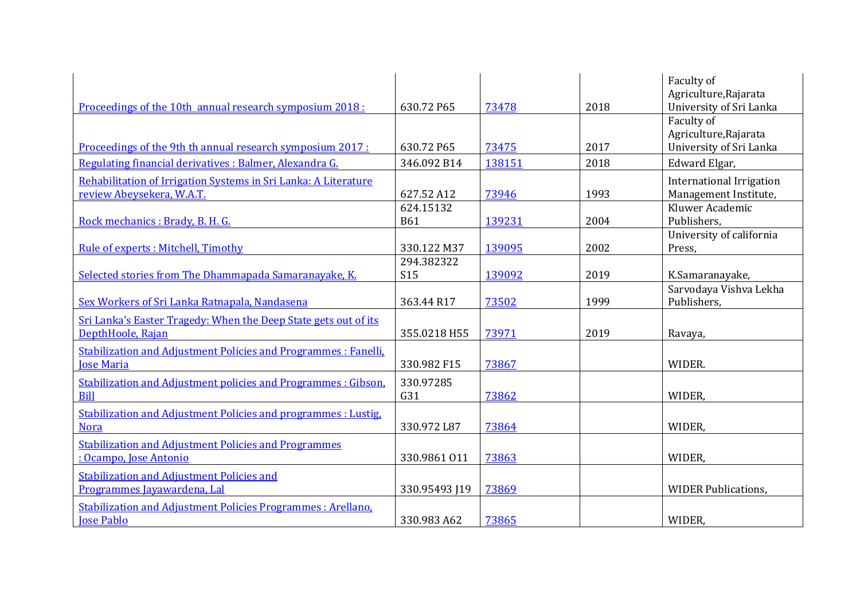|                                                                     |               |        |      | Faculty of                      |
|---------------------------------------------------------------------|---------------|--------|------|---------------------------------|
|                                                                     |               |        |      | Agriculture, Rajarata           |
| Proceedings of the 10th annual research symposium 2018:             | 630.72 P65    | 73478  | 2018 | University of Sri Lanka         |
|                                                                     |               |        |      | Faculty of                      |
|                                                                     |               |        |      | Agriculture, Rajarata           |
| Proceedings of the 9th th annual research symposium 2017:           | 630.72 P65    | 73475  | 2017 | University of Sri Lanka         |
| Regulating financial derivatives : Balmer, Alexandra G.             | 346.092 B14   | 138151 | 2018 | Edward Elgar,                   |
| Rehabilitation of Irrigation Systems in Sri Lanka: A Literature     |               |        |      | <b>International Irrigation</b> |
| review Abeysekera, W.A.T.                                           | 627.52 A12    | 73946  | 1993 | Management Institute,           |
|                                                                     | 624.15132     |        |      | Kluwer Academic                 |
| Rock mechanics : Brady, B. H. G.                                    | <b>B61</b>    | 139231 | 2004 | Publishers,                     |
|                                                                     |               |        |      | University of california        |
| Rule of experts : Mitchell, Timothy                                 | 330.122 M37   | 139095 | 2002 | Press,                          |
|                                                                     | 294.382322    |        |      |                                 |
| Selected stories from The Dhammapada Samaranayake, K.               | <b>S15</b>    | 139092 | 2019 | K.Samaranayake,                 |
|                                                                     |               |        |      | Sarvodaya Vishva Lekha          |
| Sex Workers of Sri Lanka Ratnapala, Nandasena                       | 363.44 R17    | 73502  | 1999 | Publishers,                     |
| Sri Lanka's Easter Tragedy: When the Deep State gets out of its     |               |        |      |                                 |
| DepthHoole, Rajan                                                   | 355.0218 H55  | 73971  | 2019 | Ravaya,                         |
| Stabilization and Adjustment Policies and Programmes : Fanelli,     |               |        |      |                                 |
| <b>Jose Maria</b>                                                   | 330.982 F15   | 73867  |      | WIDER.                          |
| <b>Stabilization and Adjustment policies and Programmes: Gibson</b> | 330.97285     |        |      |                                 |
| <b>Bill</b>                                                         | G31           | 73862  |      | WIDER,                          |
| Stabilization and Adjustment Policies and programmes : Lustig,      |               |        |      |                                 |
| <b>Nora</b>                                                         | 330.972 L87   | 73864  |      | WIDER,                          |
|                                                                     |               |        |      |                                 |
| <b>Stabilization and Adjustment Policies and Programmes</b>         |               |        |      |                                 |
| : Ocampo, Jose Antonio                                              | 330.9861 011  | 73863  |      | WIDER,                          |
| <b>Stabilization and Adjustment Policies and</b>                    |               |        |      |                                 |
| Programmes Javawardena, Lal                                         | 330.95493 [19 | 73869  |      | <b>WIDER Publications,</b>      |
| <b>Stabilization and Adjustment Policies Programmes: Arellano.</b>  |               |        |      |                                 |
| <b>Jose Pablo</b>                                                   | 330.983 A62   | 73865  |      | WIDER,                          |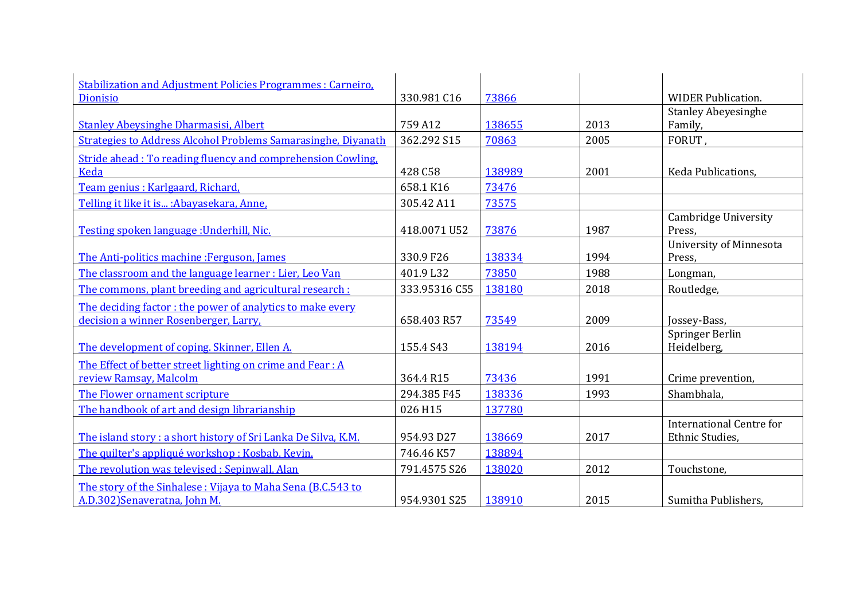| <b>Stabilization and Adjustment Policies Programmes: Carneiro,</b> |               |        |      |                                                    |
|--------------------------------------------------------------------|---------------|--------|------|----------------------------------------------------|
| Dionisio                                                           | 330.981 C16   | 73866  |      | <b>WIDER Publication.</b>                          |
|                                                                    |               |        |      | <b>Stanley Abeyesinghe</b>                         |
| <b>Stanley Abeysinghe Dharmasisi, Albert</b>                       | 759 A12       | 138655 | 2013 | Family,                                            |
| Strategies to Address Alcohol Problems Samarasinghe, Diyanath      | 362.292 S15   | 70863  | 2005 | FORUT,                                             |
| Stride ahead: To reading fluency and comprehension Cowling,        |               |        |      |                                                    |
| <b>Keda</b>                                                        | 428 C58       | 138989 | 2001 | Keda Publications,                                 |
| Team genius : Karlgaard, Richard,                                  | 658.1 K16     | 73476  |      |                                                    |
| Telling it like it is : Abayasekara, Anne,                         | 305.42 A11    | 73575  |      |                                                    |
| Testing spoken language : Underhill, Nic.                          | 418.0071 U52  | 73876  | 1987 | Cambridge University<br>Press,                     |
|                                                                    |               |        |      | <b>University of Minnesota</b>                     |
| The Anti-politics machine: Ferguson, James                         | 330.9 F26     | 138334 | 1994 | Press,                                             |
| The classroom and the language learner : Lier, Leo Van             | 401.9 L32     | 73850  | 1988 | Longman,                                           |
| The commons, plant breeding and agricultural research :            | 333.95316 C55 | 138180 | 2018 | Routledge,                                         |
| The deciding factor: the power of analytics to make every          |               |        |      |                                                    |
| decision a winner Rosenberger, Larry,                              | 658.403 R57   | 73549  | 2009 | Jossey-Bass,                                       |
| The development of coping. Skinner, Ellen A.                       | 155.4 S43     | 138194 | 2016 | Springer Berlin<br>Heidelberg,                     |
| The Effect of better street lighting on crime and Fear : A         |               |        |      |                                                    |
| review Ramsay, Malcolm                                             | 364.4 R15     | 73436  | 1991 | Crime prevention,                                  |
| The Flower ornament scripture                                      | 294.385 F45   | 138336 | 1993 | Shambhala,                                         |
| The handbook of art and design librarianship                       | 026 H15       | 137780 |      |                                                    |
| The island story: a short history of Sri Lanka De Silva, K.M.      | 954.93 D27    | 138669 | 2017 | <b>International Centre for</b><br>Ethnic Studies, |
| The quilter's appliqué workshop: Kosbab, Kevin.                    | 746.46 K57    | 138894 |      |                                                    |
| The revolution was televised: Sepinwall, Alan                      | 791.4575 S26  | 138020 | 2012 | Touchstone,                                        |
| The story of the Sinhalese: Vijaya to Maha Sena (B.C.543 to        |               |        |      |                                                    |
| A.D.302)Senaveratna, John M.                                       | 954.9301 S25  | 138910 | 2015 | Sumitha Publishers,                                |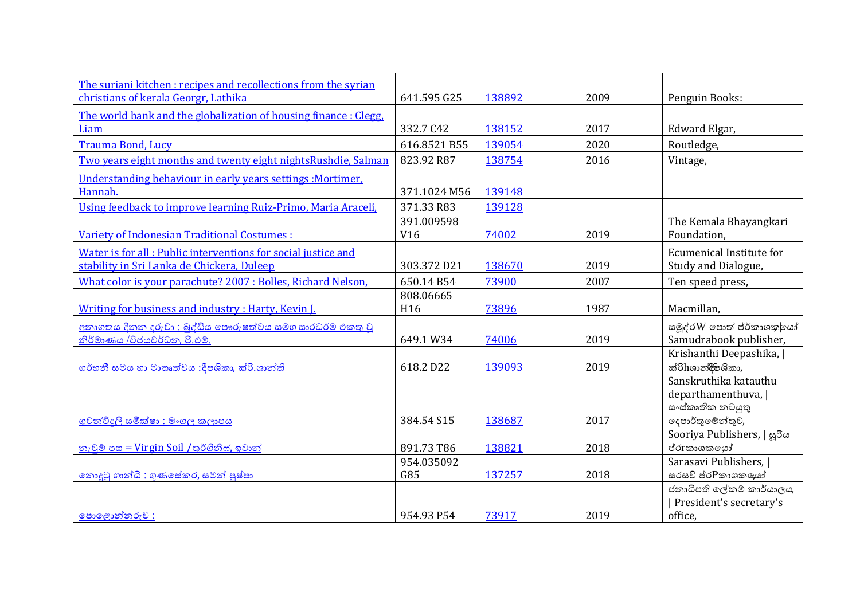| The suriani kitchen: recipes and recollections from the syrian  |                 |        |      |                                         |
|-----------------------------------------------------------------|-----------------|--------|------|-----------------------------------------|
| christians of kerala Georgr, Lathika                            | 641.595 G25     | 138892 | 2009 | Penguin Books:                          |
| The world bank and the globalization of housing finance: Clegg, |                 |        |      |                                         |
| Liam                                                            | 332.7 C42       | 138152 | 2017 | Edward Elgar,                           |
| Trauma Bond, Lucy                                               | 616.8521 B55    | 139054 | 2020 | Routledge,                              |
| Two years eight months and twenty eight nights Rushdie, Salman  | 823.92 R87      | 138754 | 2016 | Vintage,                                |
| Understanding behaviour in early years settings :Mortimer.      |                 |        |      |                                         |
| Hannah.                                                         | 371.1024 M56    | 139148 |      |                                         |
| Using feedback to improve learning Ruiz-Primo, Maria Araceli,   | 371.33 R83      | 139128 |      |                                         |
|                                                                 | 391.009598      |        |      | The Kemala Bhayangkari                  |
| Variety of Indonesian Traditional Costumes :                    | V <sub>16</sub> | 74002  | 2019 | Foundation,                             |
| Water is for all: Public interventions for social justice and   |                 |        |      | Ecumenical Institute for                |
| stability in Sri Lanka de Chickera, Duleep                      | 303.372 D21     | 138670 | 2019 | Study and Dialogue,                     |
| What color is your parachute? 2007 : Bolles, Richard Nelson,    | 650.14 B54      | 73900  | 2007 | Ten speed press,                        |
|                                                                 | 808.06665       |        |      |                                         |
| Writing for business and industry: Harty, Kevin I.              | H <sub>16</sub> | 73896  | 1987 | Macmillan,                              |
| අනාගතය දිනන දරුවා : බුද්ධිය පෞරුෂත්වය සමග සාරධර්ම එකතු වු       |                 |        |      | සමුද්රW පොත් ප්ර්කාශකු <mark>ලයා</mark> |
| නිර්මාණය /විජයවර්ධන, පී.එම්.                                    | 649.1 W34       | 74006  | 2019 | Samudrabook publisher,                  |
|                                                                 |                 |        |      | Krishanthi Deepashika,                  |
| ගර්හනී සමය හා මාතෘත්වය :දීපශිකා, ක්රි.ශාන්ති                    | 618.2 D22       | 139093 | 2019 | ක්රිhශාන්දීසශිකා,                       |
|                                                                 |                 |        |      | Sanskruthika katauthu                   |
|                                                                 |                 |        |      | departhamenthuva,                       |
|                                                                 | 384.54 S15      | 138687 | 2017 | සංස්කෘතික නටයුතු<br>දෙපාර්තුමේන්තුව,    |
| ගුවන්විදුලි සමීක්ෂා : මංගල කලාපය                                |                 |        |      | Sooriya Publishers,   සුරිය             |
| <u>නැවුම් පස = Virgin Soil /තුර්ගිනිෆ්, ඉවාන්</u>               | 891.73 T86      | 138821 | 2018 | ප්රැකාශකයෝ                              |
|                                                                 | 954.035092      |        |      | Sarasavi Publishers,                    |
| <u>නොදුටු ගාන්ධි : ගුණසේකර, සමන් පුෂ්පා</u>                     | G85             | 137257 | 2018 | සරසවි ප්ර $P$ කාශකලයා්                  |
|                                                                 |                 |        |      | ජනාධිපති ලේකම් කාර්යාලය,                |
|                                                                 |                 |        |      | President's secretary's                 |
| භෞලොන්නරුව:                                                     | 954.93 P54      | 73917  | 2019 | office,                                 |